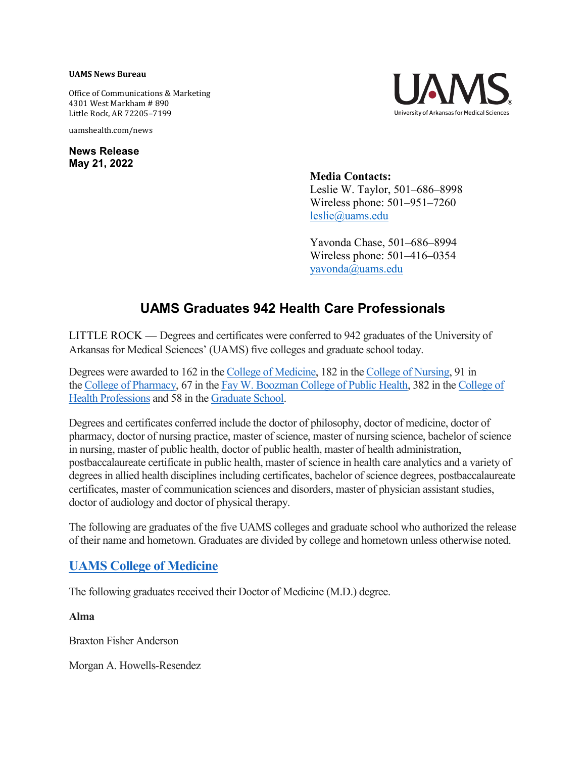#### **UAMS News Bureau**

Office of Communications & Marketing 4301 West Markham # 890 Little Rock, AR 72205–7199

uamshealth.com/news

**News Release May 21, 2022**



**Media Contacts:** Leslie W. Taylor, 501–686–8998 Wireless phone: 501–951–7260 [leslie@uams.edu](mailto:leslie@uams.edu)

Yavonda Chase, 501–686–8994 Wireless phone: 501–416–0354 [yavonda@uams.edu](mailto:yavonda@uams.edu)

# **UAMS Graduates 942 Health Care Professionals**

LITTLE ROCK — Degrees and certificates were conferred to 942 graduates of the University of Arkansas for Medical Sciences' (UAMS) five colleges and graduate school today.

Degrees were awarded to 162 in the [College of Medicine,](https://medicine.uams.edu/) 182 in the [College of Nursing,](https://nursing.uams.edu/) 91 in the [College of Pharmacy,](https://pharmcollege.uams.edu/) 67 in the [Fay W. Boozman College of Public Health,](https://publichealth.uams.edu/) 382 in the [College of](http://healthprofessions.uams.edu/)  [Health Professions](http://healthprofessions.uams.edu/) and 58 in the [Graduate School.](http://gradschool.uams.edu/)

Degrees and certificates conferred include the doctor of philosophy, doctor of medicine, doctor of pharmacy, doctor of nursing practice, master of science, master of nursing science, bachelor of science in nursing, master of public health, doctor of public health, master of health administration, postbaccalaureate certificate in public health, master of science in health care analytics and a variety of degrees in allied health disciplines including certificates, bachelor of science degrees, postbaccalaureate certificates, master of communication sciences and disorders, master of physician assistant studies, doctor of audiology and doctor of physical therapy.

The following are graduates of the five UAMS colleges and graduate school who authorized the release of their name and hometown. Graduates are divided by college and hometown unless otherwise noted.

# **[UAMS College of Medicine](https://medicine.uams.edu/)**

The following graduates received their Doctor of Medicine (M.D.) degree.

**Alma**

Braxton Fisher Anderson

Morgan A. Howells-Resendez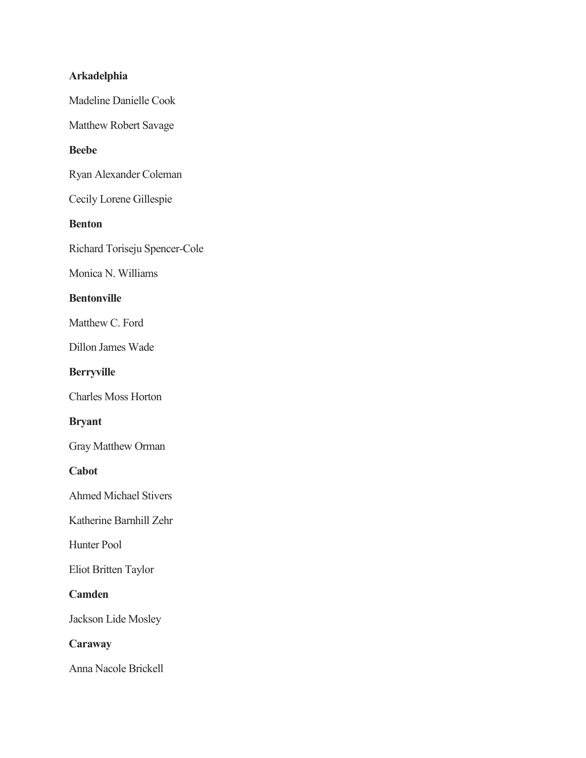# **Arkadelphia**

Madeline Danielle Cook

Matthew Robert Savage

### **Beebe**

Ryan Alexander Coleman

Cecily Lorene Gillespie

### **Benton**

Richard Toriseju Spencer-Cole

Monica N. Williams

### **Bentonville**

Matthew C. Ford

Dillon James Wade

### **Berryville**

Charles Moss Horton

### **Bryant**

Gray Matthew Orman

#### **Cabot**

Ahmed Michael Stivers

Katherine Barnhill Zehr

Hunter Pool

Eliot Britten Taylor

# **Camden**

Jackson Lide Mosley

# **Caraway**

Anna Nacole Brickell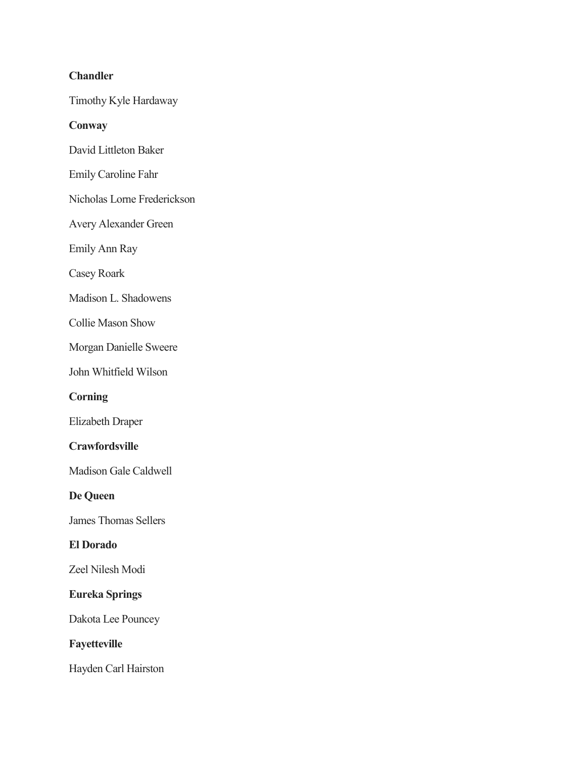# **Chandler**

Timothy Kyle Hardaway

### **Conway**

- David Littleton Baker
- Emily Caroline Fahr
- Nicholas Lorne Frederickson
- Avery Alexander Green
- Emily Ann Ray
- Casey Roark
- Madison L. Shadowens
- Collie Mason Show
- Morgan Danielle Sweere
- John Whitfield Wilson

# **Corning**

Elizabeth Draper

# **Crawfordsville**

- Madison Gale Caldwell
- **De Queen**
- James Thomas Sellers

# **El Dorado**

Zeel Nilesh Modi

# **Eureka Springs**

Dakota Lee Pouncey

# **Fayetteville**

Hayden Carl Hairston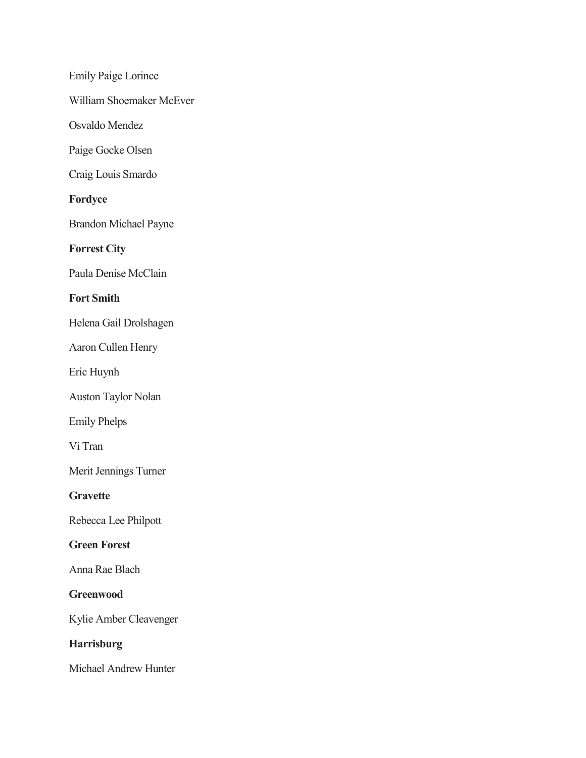Emily Paige Lorince William Shoemaker McEver Osvaldo Mendez Paige Gocke Olsen Craig Louis Smardo **Fordyce** Brandon Michael Payne **Forrest City** Paula Denise McClain **Fort Smith** Helena Gail Drolshagen Aaron Cullen Henry Eric Huynh Auston Taylor Nolan Emily Phelps Vi Tran Merit Jennings Turner **Gravette** Rebecca Lee Philpott **Green Forest** Anna Rae Blach **Greenwood** Kylie Amber Cleavenger **Harrisburg** Michael Andrew Hunter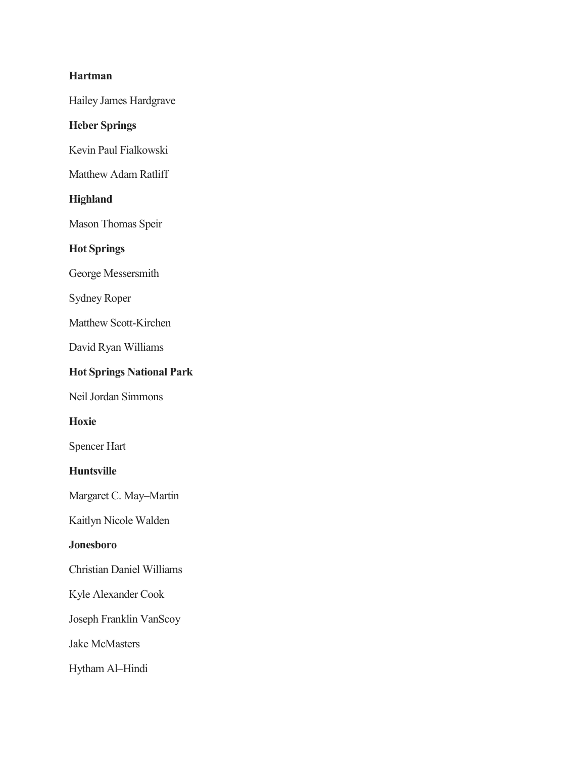### **Hartman**

Hailey James Hardgrave

# **Heber Springs**

Kevin Paul Fialkowski

Matthew Adam Ratliff

# **Highland**

Mason Thomas Speir

# **Hot Springs**

George Messersmith

Sydney Roper

Matthew Scott-Kirchen

David Ryan Williams

# **Hot Springs National Park**

Neil Jordan Simmons

**Hoxie**

Spencer Hart

### **Huntsville**

Margaret C. May–Martin

Kaitlyn Nicole Walden

# **Jonesboro**

Christian Daniel Williams

Kyle Alexander Cook

Joseph Franklin VanScoy

Jake McMasters

Hytham Al–Hindi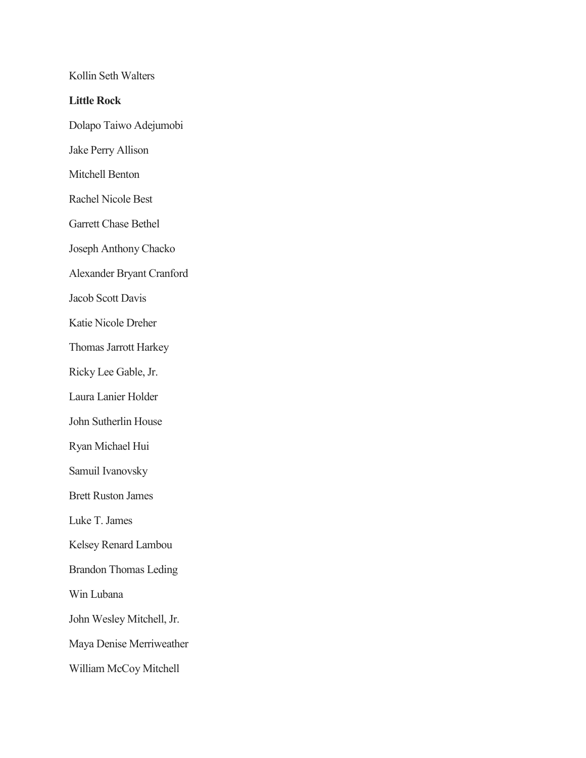Kollin Seth Walters **Little Rock** Dolapo Taiwo Adejumobi Jake Perry Allison Mitchell Benton Rachel Nicole Best Garrett Chase Bethel Joseph Anthony Chacko Alexander Bryant Cranford Jacob Scott Davis Katie Nicole Dreher Thomas Jarrott Harkey Ricky Lee Gable, Jr. Laura Lanier Holder John Sutherlin House Ryan Michael Hui Samuil Ivanovsky Brett Ruston James Luke T. James Kelsey Renard Lambou Brandon Thomas Leding Win Lubana John Wesley Mitchell, Jr. Maya Denise Merriweather William McCoy Mitchell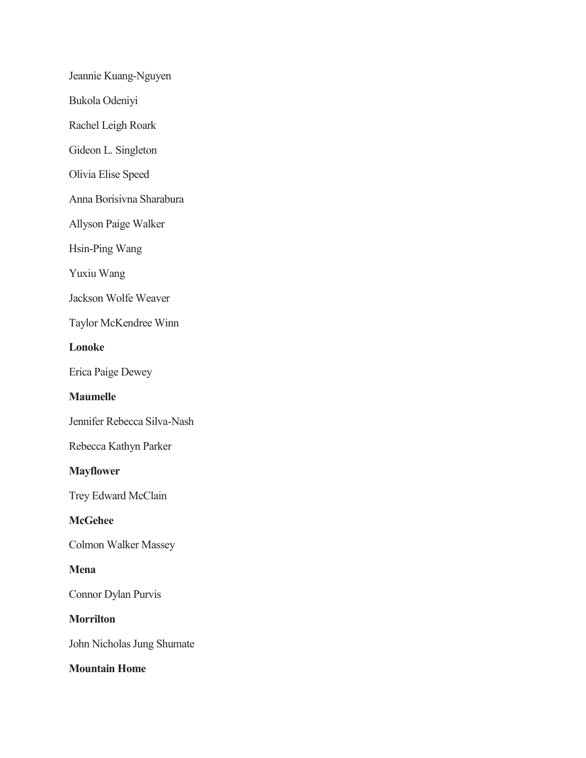Jeannie Kuang-Nguyen

Bukola Odeniyi

Rachel Leigh Roark

Gideon L. Singleton

Olivia Elise Speed

Anna Borisivna Sharabura

Allyson Paige Walker

Hsin-Ping Wang

Yuxiu Wang

Jackson Wolfe Weaver

Taylor McKendree Winn

**Lonoke**

Erica Paige Dewey

# **Maumelle**

Jennifer Rebecca Silva-Nash

Rebecca Kathyn Parker

#### **Mayflower**

Trey Edward McClain

### **McGehee**

Colmon Walker Massey

#### **Mena**

Connor Dylan Purvis

**Morrilton**

John Nicholas Jung Shumate

### **Mountain Home**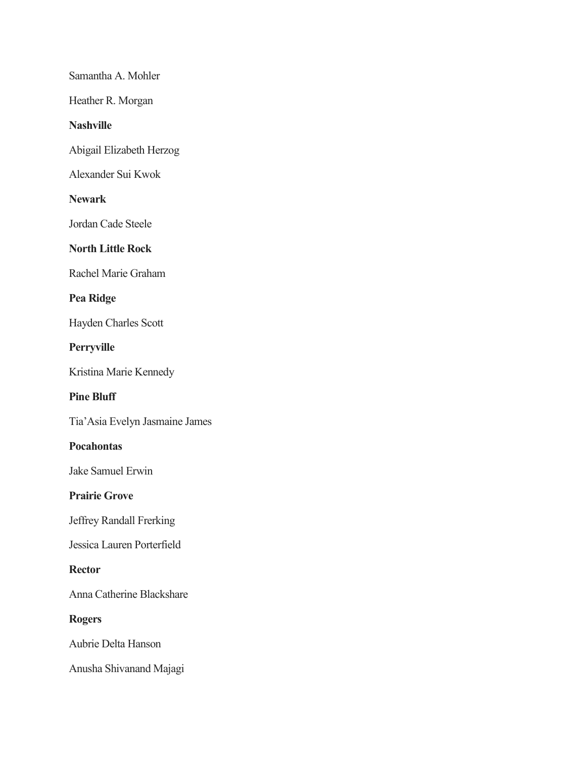Samantha A. Mohler

Heather R. Morgan

### **Nashville**

Abigail Elizabeth Herzog

Alexander Sui Kwok

### **Newark**

Jordan Cade Steele

# **North Little Rock**

Rachel Marie Graham

# **Pea Ridge**

Hayden Charles Scott

**Perryville**

Kristina Marie Kennedy

# **Pine Bluff**

Tia'Asia Evelyn Jasmaine James

#### **Pocahontas**

Jake Samuel Erwin

### **Prairie Grove**

Jeffrey Randall Frerking

Jessica Lauren Porterfield

#### **Rector**

Anna Catherine Blackshare

### **Rogers**

Aubrie Delta Hanson

Anusha Shivanand Majagi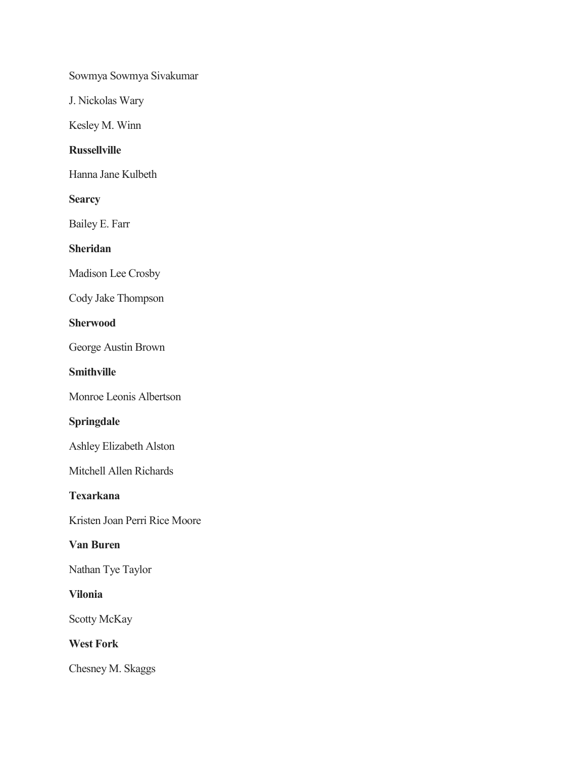Sowmya Sowmya Sivakumar

J. Nickolas Wary

Kesley M. Winn

# **Russellville**

Hanna Jane Kulbeth

### **Searcy**

Bailey E. Farr

# **Sheridan**

Madison Lee Crosby

Cody Jake Thompson

### **Sherwood**

George Austin Brown

### **Smithville**

Monroe Leonis Albertson

# **Springdale**

Ashley Elizabeth Alston

Mitchell Allen Richards

### **Texarkana**

Kristen Joan Perri Rice Moore

# **Van Buren**

Nathan Tye Taylor

### **Vilonia**

Scotty McKay

# **West Fork**

Chesney M. Skaggs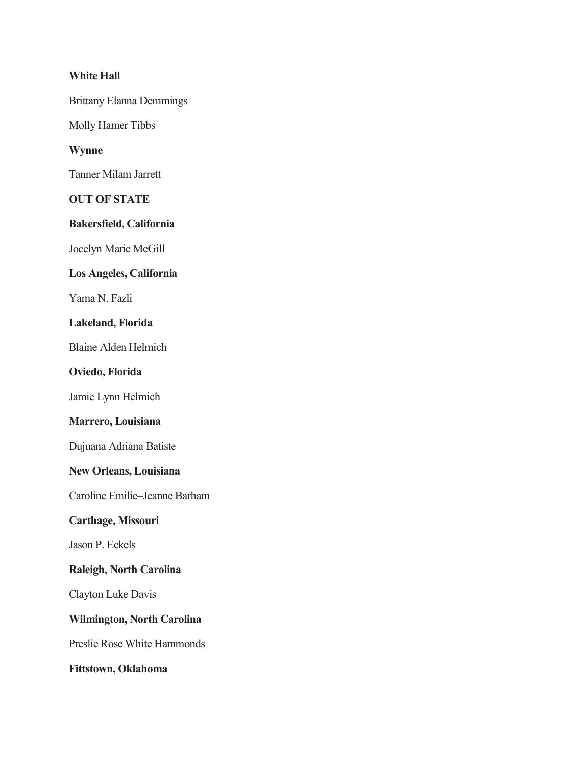### **White Hall**

Brittany Elanna Demmings

Molly Hamer Tibbs

### **Wynne**

Tanner Milam Jarrett

## **OUT OF STATE**

#### **Bakersfield, California**

Jocelyn Marie McGill

### **Los Angeles, California**

Yama N. Fazli

# **Lakeland, Florida**

Blaine Alden Helmich

#### **Oviedo, Florida**

Jamie Lynn Helmich

### **Marrero, Louisiana**

Dujuana Adriana Batiste

### **New Orleans, Louisiana**

Caroline Emilie–Jeanne Barham

#### **Carthage, Missouri**

Jason P. Eckels

#### **Raleigh, North Carolina**

Clayton Luke Davis

## **Wilmington, North Carolina**

Preslie Rose White Hammonds

**Fittstown, Oklahoma**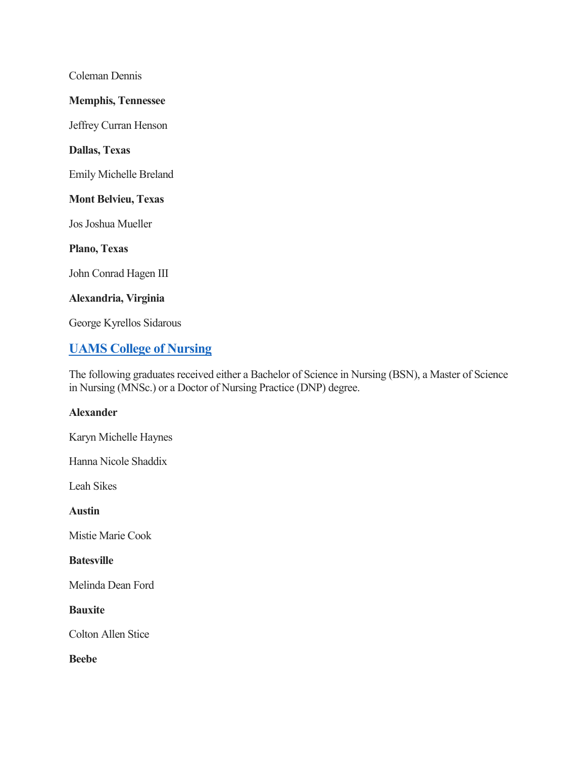Coleman Dennis

### **Memphis, Tennessee**

Jeffrey Curran Henson

### **Dallas, Texas**

Emily Michelle Breland

#### **Mont Belvieu, Texas**

Jos Joshua Mueller

**Plano, Texas**

John Conrad Hagen III

#### **Alexandria, Virginia**

George Kyrellos Sidarous

# **[UAMS College of Nursing](https://nursing.uams.edu/)**

The following graduates received either a Bachelor of Science in Nursing (BSN), a Master of Science in Nursing (MNSc.) or a Doctor of Nursing Practice (DNP) degree.

### **Alexander**

Karyn Michelle Haynes

Hanna Nicole Shaddix

Leah Sikes

**Austin**

Mistie Marie Cook

### **Batesville**

Melinda Dean Ford

#### **Bauxite**

Colton Allen Stice

**Beebe**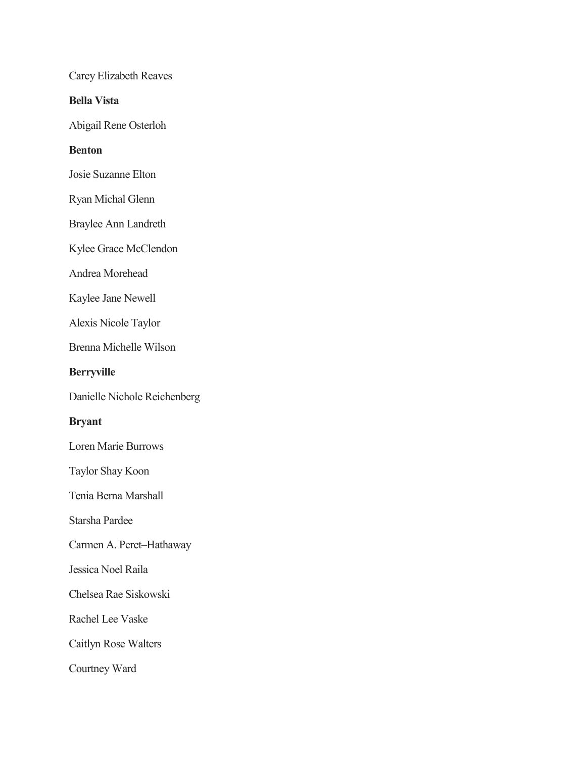Carey Elizabeth Reaves

**Bella Vista**

Abigail Rene Osterloh

### **Benton**

Josie Suzanne Elton

Ryan Michal Glenn

Braylee Ann Landreth

Kylee Grace McClendon

Andrea Morehead

Kaylee Jane Newell

Alexis Nicole Taylor

Brenna Michelle Wilson

#### **Berryville**

Danielle Nichole Reichenberg

### **Bryant**

Loren Marie Burrows

Taylor Shay Koon

Tenia Berna Marshall

Starsha Pardee

Carmen A. Peret–Hathaway

Jessica Noel Raila

Chelsea Rae Siskowski

Rachel Lee Vaske

Caitlyn Rose Walters

Courtney Ward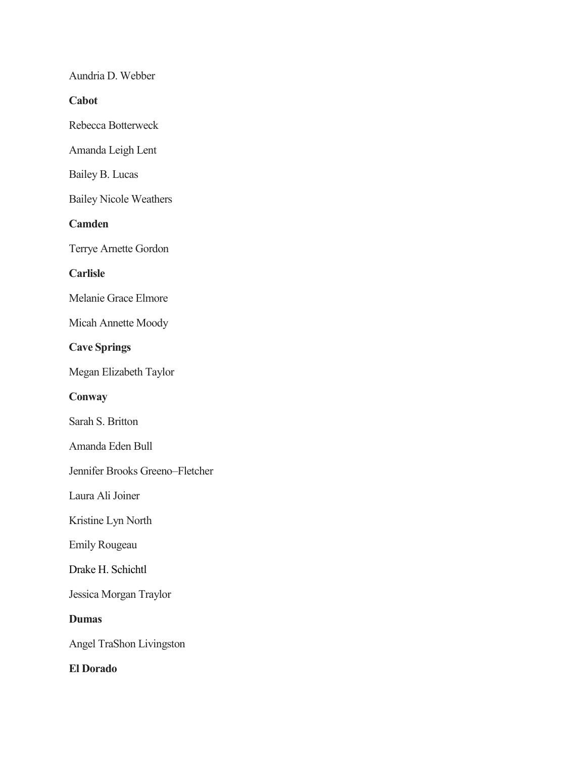Aundria D. Webber

**Cabot**

Rebecca Botterweck

Amanda Leigh Lent

Bailey B. Lucas

Bailey Nicole Weathers

**Camden**

Terrye Arnette Gordon

**Carlisle**

Melanie Grace Elmore

Micah Annette Moody

**Cave Springs**

Megan Elizabeth Taylor

**Conway**

Sarah S. Britton

Amanda Eden Bull

Jennifer Brooks Greeno–Fletcher

Laura Ali Joiner

Kristine Lyn North

Emily Rougeau

Drake H. Schichtl

Jessica Morgan Traylor

**Dumas**

Angel TraShon Livingston

**El Dorado**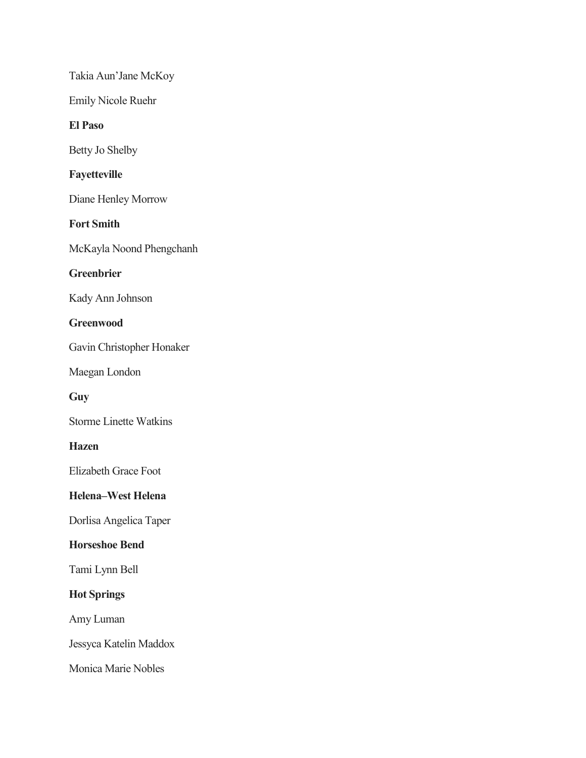Takia Aun'Jane McKoy

Emily Nicole Ruehr

### **El Paso**

Betty Jo Shelby

# **Fayetteville**

Diane Henley Morrow

# **Fort Smith**

McKayla Noond Phengchanh

# **Greenbrier**

Kady Ann Johnson

### **Greenwood**

Gavin Christopher Honaker

Maegan London

### **Guy**

Storme Linette Watkins

### **Hazen**

Elizabeth Grace Foot

# **Helena–West Helena**

Dorlisa Angelica Taper

# **Horseshoe Bend**

Tami Lynn Bell

# **Hot Springs**

Amy Luman

Jessyca Katelin Maddox

Monica Marie Nobles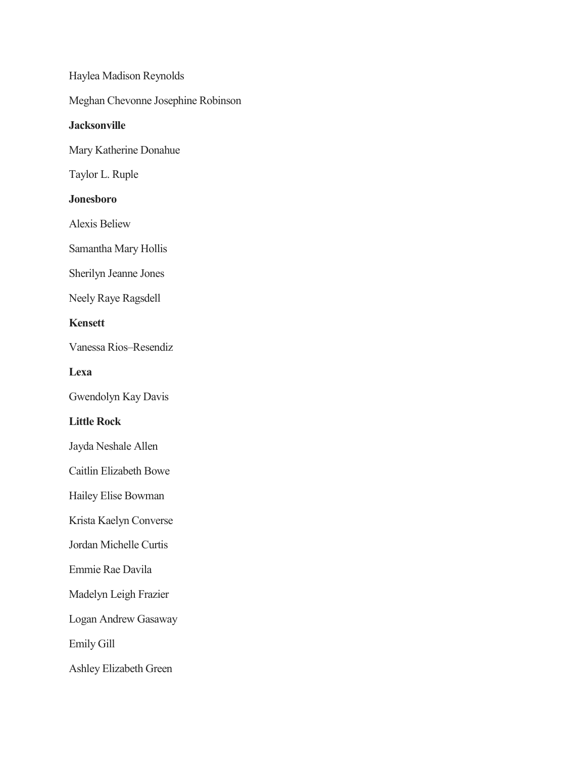Haylea Madison Reynolds Meghan Chevonne Josephine Robinson **Jacksonville** Mary Katherine Donahue Taylor L. Ruple **Jonesboro** Alexis Beliew Samantha Mary Hollis Sherilyn Jeanne Jones Neely Raye Ragsdell **Kensett** Vanessa Rios–Resendiz **Lexa** Gwendolyn Kay Davis **Little Rock** Jayda Neshale Allen Caitlin Elizabeth Bowe Hailey Elise Bowman Krista Kaelyn Converse Jordan Michelle Curtis Emmie Rae Davila Madelyn Leigh Frazier Logan Andrew Gasaway Emily Gill Ashley Elizabeth Green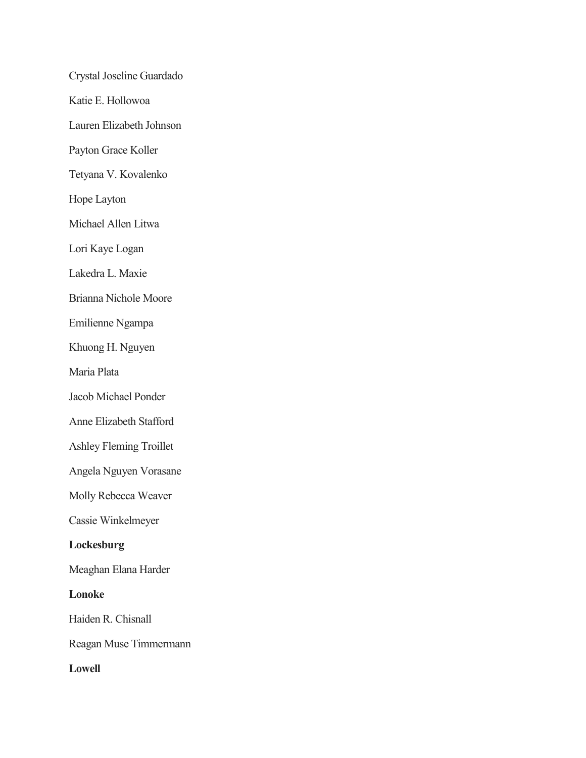Crystal Joseline Guardado Katie E. Hollowoa Lauren Elizabeth Johnson Payton Grace Koller Tetyana V. Kovalenko Hope Layton Michael Allen Litwa Lori Kaye Logan Lakedra L. Maxie Brianna Nichole Moore Emilienne Ngampa Khuong H. Nguyen Maria Plata Jacob Michael Ponder Anne Elizabeth Stafford Ashley Fleming Troillet Angela Nguyen Vorasane Molly Rebecca Weaver Cassie Winkelmeyer **Lockesburg** Meaghan Elana Harder **Lonoke** Haiden R. Chisnall Reagan Muse Timmermann **Lowell**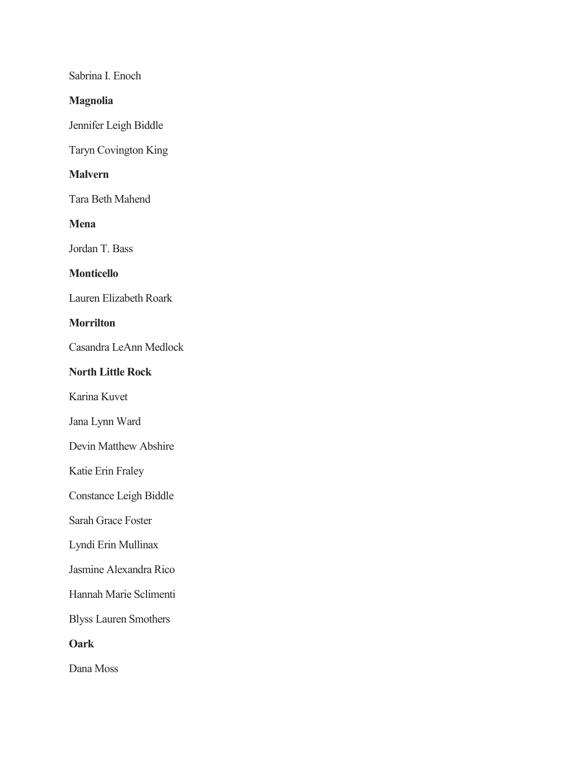Sabrina I. Enoch

### **Magnolia**

Jennifer Leigh Biddle

Taryn Covington King

# **Malvern**

Tara Beth Mahend

**Mena**

Jordan T. Bass

# **Monticello**

Lauren Elizabeth Roark

# **Morrilton**

Casandra LeAnn Medlock

### **North Little Rock**

Karina Kuvet

Jana Lynn Ward

Devin Matthew Abshire

Katie Erin Fraley

Constance Leigh Biddle

Sarah Grace Foster

Lyndi Erin Mullinax

Jasmine Alexandra Rico

Hannah Marie Sclimenti

Blyss Lauren Smothers

**Oark**

Dana Moss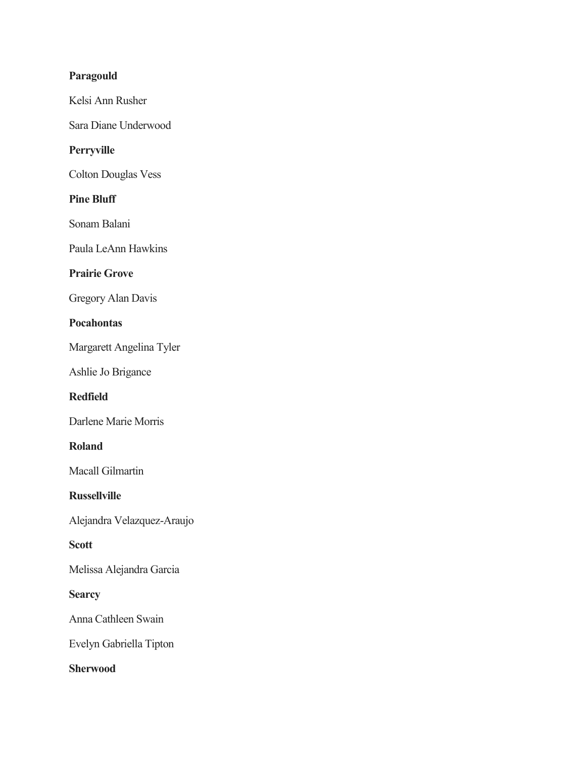# **Paragould**

Kelsi Ann Rusher

Sara Diane Underwood

# **Perryville**

Colton Douglas Vess

### **Pine Bluff**

Sonam Balani

Paula LeAnn Hawkins

# **Prairie Grove**

Gregory Alan Davis

# **Pocahontas**

Margarett Angelina Tyler

Ashlie Jo Brigance

# **Redfield**

Darlene Marie Morris

#### **Roland**

Macall Gilmartin

### **Russellville**

Alejandra Velazquez-Araujo

### **Scott**

Melissa Alejandra Garcia

#### **Searcy**

Anna Cathleen Swain

Evelyn Gabriella Tipton

### **Sherwood**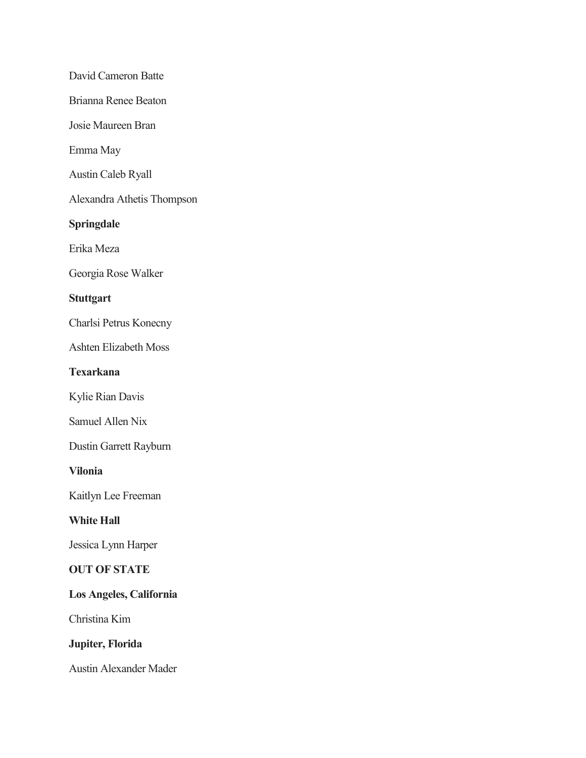David Cameron Batte Brianna Renee Beaton Josie Maureen Bran Emma May Austin Caleb Ryall Alexandra Athetis Thompson **Springdale** Erika Meza Georgia Rose Walker **Stuttgart** Charlsi Petrus Konecny Ashten Elizabeth Moss **Texarkana** Kylie Rian Davis Samuel Allen Nix Dustin Garrett Rayburn **Vilonia** Kaitlyn Lee Freeman **White Hall** Jessica Lynn Harper **OUT OF STATE Los Angeles, California** Christina Kim **Jupiter, Florida** Austin Alexander Mader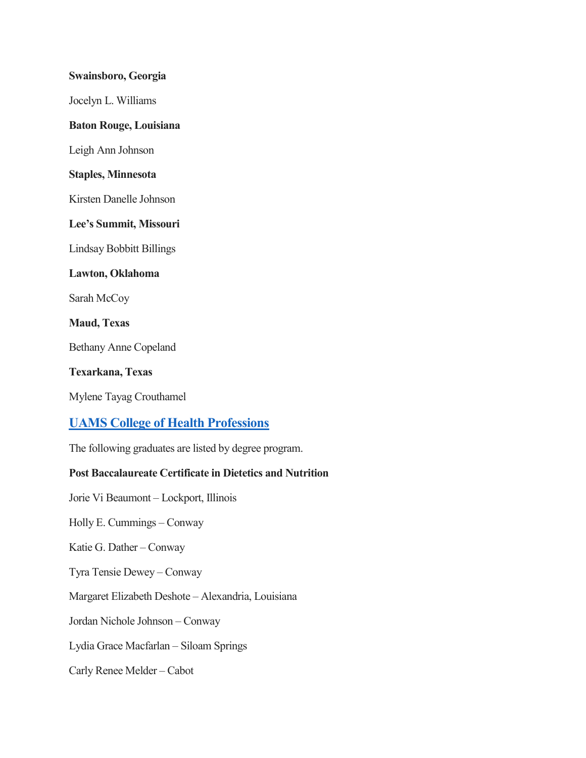#### **Swainsboro, Georgia**

Jocelyn L. Williams

### **Baton Rouge, Louisiana**

Leigh Ann Johnson

#### **Staples, Minnesota**

Kirsten Danelle Johnson

### **Lee's Summit, Missouri**

Lindsay Bobbitt Billings

#### **Lawton, Oklahoma**

Sarah McCoy

### **Maud, Texas**

Bethany Anne Copeland

#### **Texarkana, Texas**

Mylene Tayag Crouthamel

# **[UAMS College of Health Professions](http://healthprofessions.uams.edu/)**

The following graduates are listed by degree program.

### **Post Baccalaureate Certificate in Dietetics and Nutrition**

Jorie Vi Beaumont – Lockport, Illinois

Holly E. Cummings – Conway

Katie G. Dather – Conway

Tyra Tensie Dewey – Conway

Margaret Elizabeth Deshote – Alexandria, Louisiana

Jordan Nichole Johnson – Conway

Lydia Grace Macfarlan – Siloam Springs

Carly Renee Melder – Cabot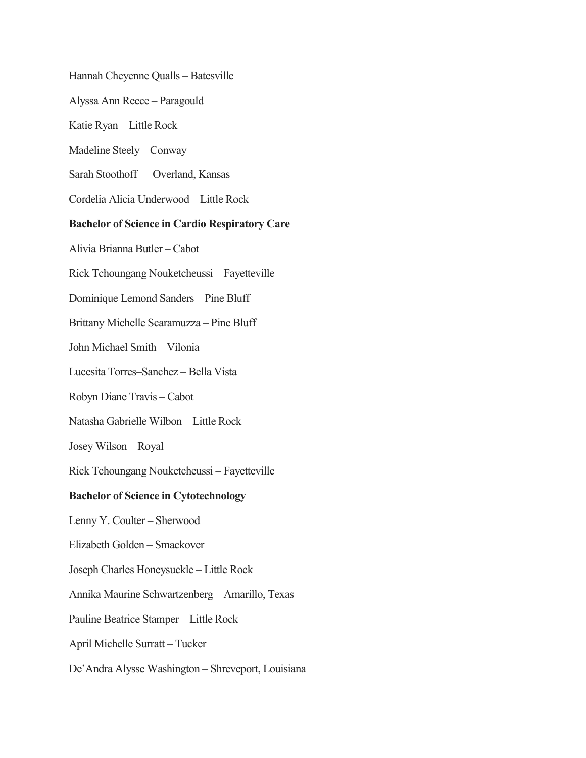Hannah Cheyenne Qualls – Batesville

Alyssa Ann Reece – Paragould

Katie Ryan – Little Rock

Madeline Steely – Conway

Sarah Stoothoff – Overland, Kansas

Cordelia Alicia Underwood – Little Rock

#### **Bachelor of Science in Cardio Respiratory Care**

Alivia Brianna Butler – Cabot

Rick Tchoungang Nouketcheussi – Fayetteville

Dominique Lemond Sanders – Pine Bluff

Brittany Michelle Scaramuzza – Pine Bluff

John Michael Smith – Vilonia

Lucesita Torres–Sanchez – Bella Vista

Robyn Diane Travis – Cabot

Natasha Gabrielle Wilbon – Little Rock

Josey Wilson – Royal

Rick Tchoungang Nouketcheussi – Fayetteville

#### **Bachelor of Science in Cytotechnology**

Lenny Y. Coulter – Sherwood

Elizabeth Golden – Smackover

Joseph Charles Honeysuckle – Little Rock

Annika Maurine Schwartzenberg – Amarillo, Texas

Pauline Beatrice Stamper – Little Rock

April Michelle Surratt – Tucker

De'Andra Alysse Washington – Shreveport, Louisiana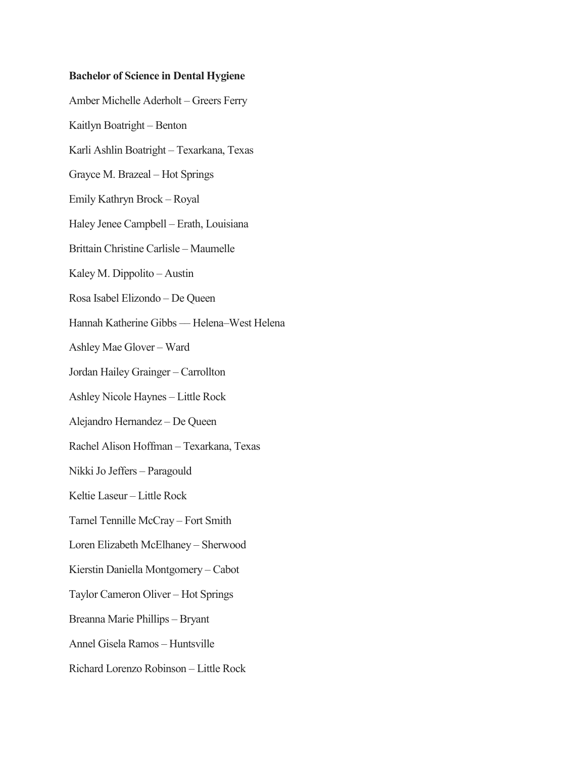#### **Bachelor of Science in Dental Hygiene**

Amber Michelle Aderholt – Greers Ferry Kaitlyn Boatright – Benton Karli Ashlin Boatright – Texarkana, Texas Grayce M. Brazeal – Hot Springs Emily Kathryn Brock – Royal Haley Jenee Campbell – Erath, Louisiana Brittain Christine Carlisle – Maumelle Kaley M. Dippolito – Austin Rosa Isabel Elizondo – De Queen Hannah Katherine Gibbs –– Helena–West Helena Ashley Mae Glover – Ward Jordan Hailey Grainger – Carrollton Ashley Nicole Haynes – Little Rock Alejandro Hernandez – De Queen Rachel Alison Hoffman – Texarkana, Texas Nikki Jo Jeffers – Paragould Keltie Laseur – Little Rock Tarnel Tennille McCray – Fort Smith Loren Elizabeth McElhaney – Sherwood Kierstin Daniella Montgomery – Cabot Taylor Cameron Oliver – Hot Springs Breanna Marie Phillips – Bryant Annel Gisela Ramos – Huntsville Richard Lorenzo Robinson – Little Rock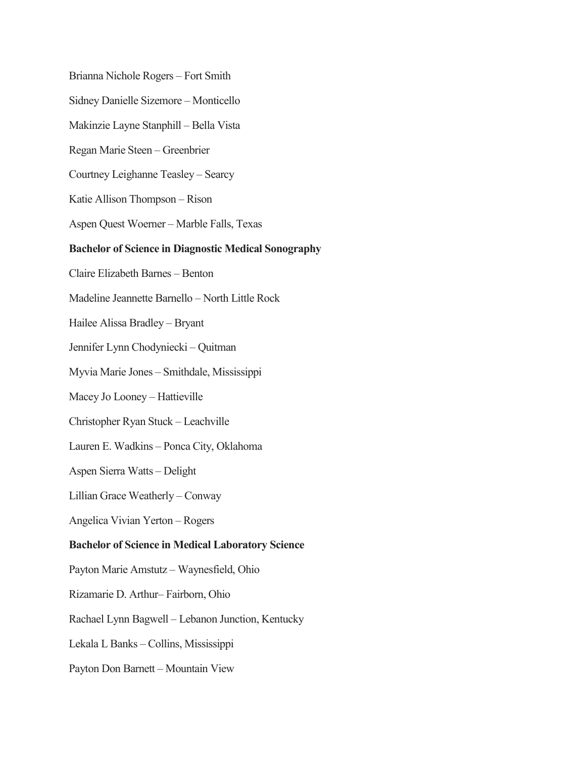Brianna Nichole Rogers – Fort Smith Sidney Danielle Sizemore – Monticello Makinzie Layne Stanphill – Bella Vista Regan Marie Steen – Greenbrier Courtney Leighanne Teasley – Searcy Katie Allison Thompson – Rison Aspen Quest Woerner – Marble Falls, Texas **Bachelor of Science in Diagnostic Medical Sonography** Claire Elizabeth Barnes – Benton Madeline Jeannette Barnello – North Little Rock Hailee Alissa Bradley – Bryant Jennifer Lynn Chodyniecki – Quitman Myvia Marie Jones – Smithdale, Mississippi Macey Jo Looney – Hattieville Christopher Ryan Stuck – Leachville Lauren E. Wadkins – Ponca City, Oklahoma Aspen Sierra Watts – Delight Lillian Grace Weatherly – Conway Angelica Vivian Yerton – Rogers **Bachelor of Science in Medical Laboratory Science** Payton Marie Amstutz – Waynesfield, Ohio Rizamarie D. Arthur– Fairborn, Ohio Rachael Lynn Bagwell – Lebanon Junction, Kentucky Lekala L Banks – Collins, Mississippi Payton Don Barnett – Mountain View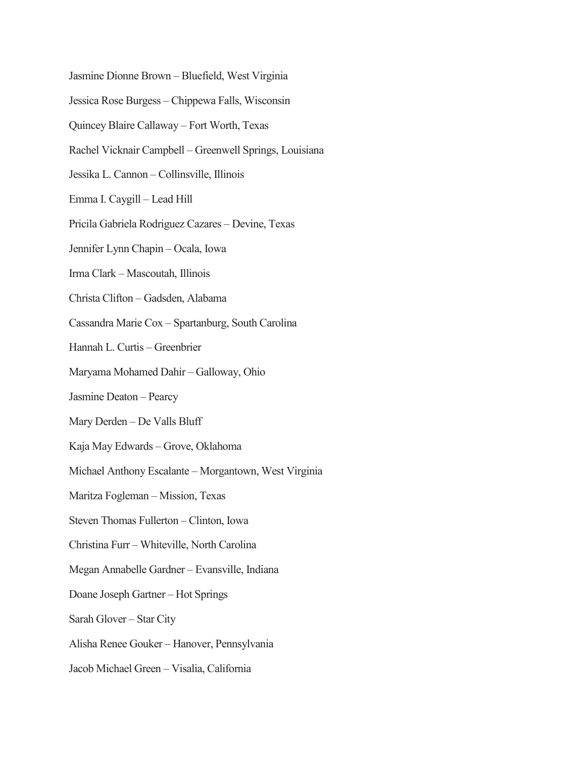- Jasmine Dionne Brown Bluefield, West Virginia
- Jessica Rose Burgess Chippewa Falls, Wisconsin
- Quincey Blaire Callaway Fort Worth, Texas
- Rachel Vicknair Campbell Greenwell Springs, Louisiana
- Jessika L. Cannon Collinsville, Illinois
- Emma I. Caygill Lead Hill
- Pricila Gabriela Rodriguez Cazares Devine, Texas
- Jennifer Lynn Chapin Ocala, Iowa
- Irma Clark Mascoutah, Illinois
- Christa Clifton Gadsden, Alabama
- Cassandra Marie Cox Spartanburg, South Carolina
- Hannah L. Curtis Greenbrier
- Maryama Mohamed Dahir Galloway, Ohio
- Jasmine Deaton Pearcy
- Mary Derden De Valls Bluff
- Kaja May Edwards Grove, Oklahoma
- Michael Anthony Escalante Morgantown, West Virginia
- Maritza Fogleman Mission, Texas
- Steven Thomas Fullerton Clinton, Iowa
- Christina Furr Whiteville, North Carolina
- Megan Annabelle Gardner Evansville, Indiana
- Doane Joseph Gartner Hot Springs
- Sarah Glover Star City
- Alisha Renee Gouker Hanover, Pennsylvania
- Jacob Michael Green Visalia, California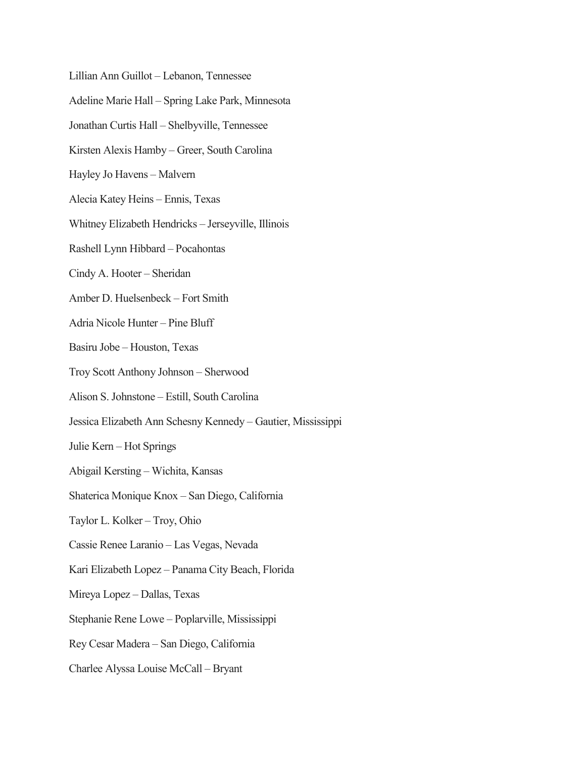Lillian Ann Guillot – Lebanon, Tennessee Adeline Marie Hall – Spring Lake Park, Minnesota Jonathan Curtis Hall – Shelbyville, Tennessee Kirsten Alexis Hamby – Greer, South Carolina Hayley Jo Havens – Malvern Alecia Katey Heins – Ennis, Texas Whitney Elizabeth Hendricks – Jerseyville, Illinois Rashell Lynn Hibbard – Pocahontas Cindy A. Hooter – Sheridan Amber D. Huelsenbeck – Fort Smith Adria Nicole Hunter – Pine Bluff Basiru Jobe – Houston, Texas Troy Scott Anthony Johnson – Sherwood Alison S. Johnstone – Estill, South Carolina Jessica Elizabeth Ann Schesny Kennedy – Gautier, Mississippi Julie Kern – Hot Springs Abigail Kersting – Wichita, Kansas Shaterica Monique Knox – San Diego, California Taylor L. Kolker – Troy, Ohio Cassie Renee Laranio – Las Vegas, Nevada Kari Elizabeth Lopez – Panama City Beach, Florida Mireya Lopez – Dallas, Texas Stephanie Rene Lowe – Poplarville, Mississippi Rey Cesar Madera – San Diego, California Charlee Alyssa Louise McCall – Bryant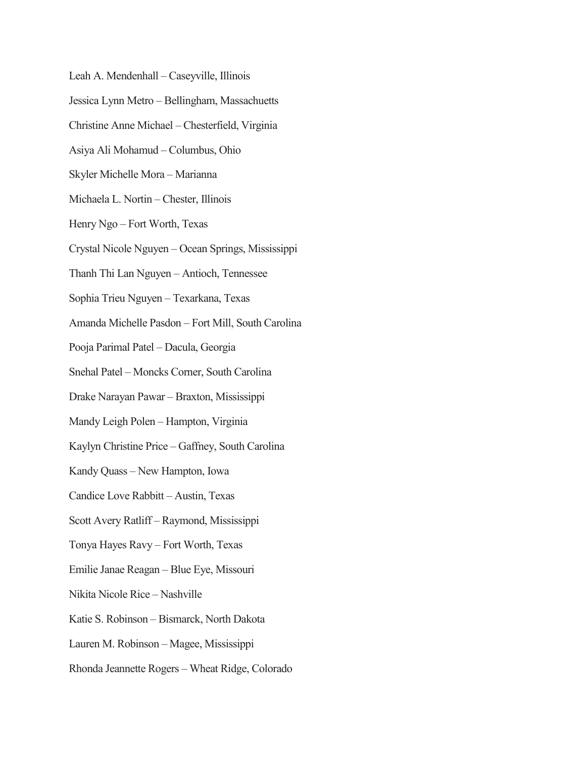Leah A. Mendenhall – Caseyville, Illinois Jessica Lynn Metro – Bellingham, Massachuetts Christine Anne Michael – Chesterfield, Virginia Asiya Ali Mohamud – Columbus, Ohio Skyler Michelle Mora – Marianna Michaela L. Nortin – Chester, Illinois Henry Ngo – Fort Worth, Texas Crystal Nicole Nguyen – Ocean Springs, Mississippi Thanh Thi Lan Nguyen – Antioch, Tennessee Sophia Trieu Nguyen – Texarkana, Texas Amanda Michelle Pasdon – Fort Mill, South Carolina Pooja Parimal Patel – Dacula, Georgia Snehal Patel – Moncks Corner, South Carolina Drake Narayan Pawar – Braxton, Mississippi Mandy Leigh Polen – Hampton, Virginia Kaylyn Christine Price – Gaffney, South Carolina Kandy Quass – New Hampton, Iowa Candice Love Rabbitt – Austin, Texas Scott Avery Ratliff – Raymond, Mississippi Tonya Hayes Ravy – Fort Worth, Texas Emilie Janae Reagan – Blue Eye, Missouri Nikita Nicole Rice – Nashville Katie S. Robinson – Bismarck, North Dakota Lauren M. Robinson – Magee, Mississippi Rhonda Jeannette Rogers – Wheat Ridge, Colorado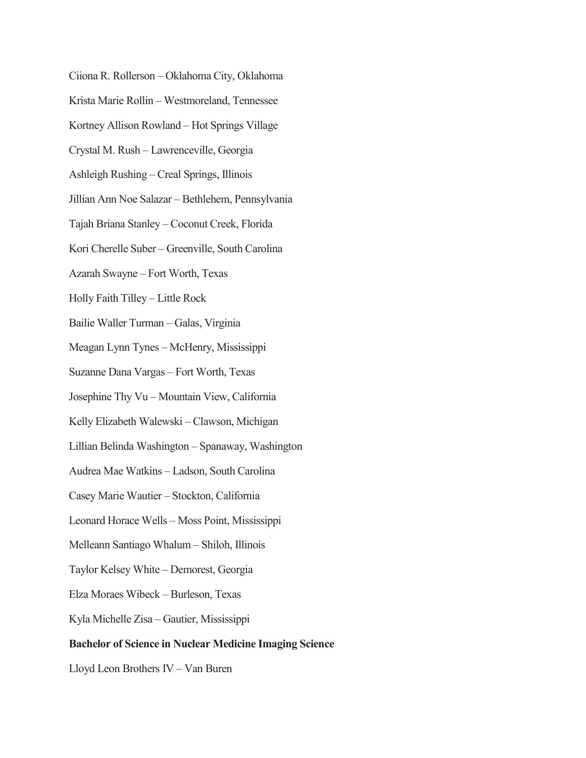Ciiona R. Rollerson – Oklahoma City, Oklahoma Krista Marie Rollin – Westmoreland, Tennessee Kortney Allison Rowland – Hot Springs Village Crystal M. Rush – Lawrenceville, Georgia Ashleigh Rushing – Creal Springs, Illinois Jillian Ann Noe Salazar – Bethlehem, Pennsylvania Tajah Briana Stanley – Coconut Creek, Florida Kori Cherelle Suber – Greenville, South Carolina Azarah Swayne – Fort Worth, Texas Holly Faith Tilley – Little Rock Bailie Waller Turman – Galas, Virginia Meagan Lynn Tynes – McHenry, Mississippi Suzanne Dana Vargas – Fort Worth, Texas Josephine Thy Vu – Mountain View, California Kelly Elizabeth Walewski – Clawson, Michigan Lillian Belinda Washington – Spanaway, Washington Audrea Mae Watkins – Ladson, South Carolina Casey Marie Wautier – Stockton, California Leonard Horace Wells – Moss Point, Mississippi Melleann Santiago Whalum – Shiloh, Illinois Taylor Kelsey White – Demorest, Georgia Elza Moraes Wibeck – Burleson, Texas Kyla Michelle Zisa – Gautier, Mississippi **Bachelor of Science in Nuclear Medicine Imaging Science** Lloyd Leon Brothers IV – Van Buren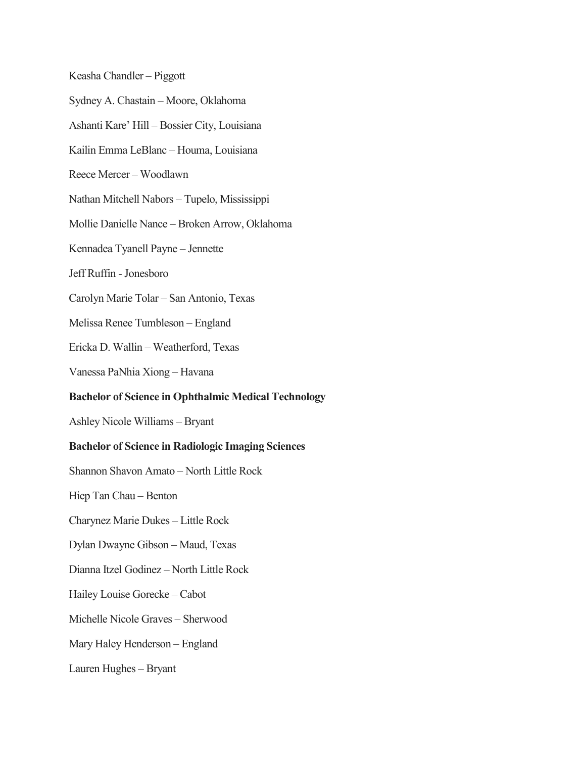Keasha Chandler – Piggott Sydney A. Chastain – Moore, Oklahoma Ashanti Kare' Hill – Bossier City, Louisiana Kailin Emma LeBlanc – Houma, Louisiana Reece Mercer – Woodlawn Nathan Mitchell Nabors – Tupelo, Mississippi Mollie Danielle Nance – Broken Arrow, Oklahoma Kennadea Tyanell Payne – Jennette Jeff Ruffin -Jonesboro Carolyn Marie Tolar – San Antonio, Texas Melissa Renee Tumbleson – England Ericka D. Wallin – Weatherford, Texas Vanessa PaNhia Xiong – Havana **Bachelor of Science in Ophthalmic Medical Technology** Ashley Nicole Williams – Bryant **Bachelor of Science in Radiologic Imaging Sciences** Shannon Shavon Amato – North Little Rock Hiep Tan Chau – Benton Charynez Marie Dukes – Little Rock Dylan Dwayne Gibson – Maud, Texas Dianna Itzel Godinez – North Little Rock Hailey Louise Gorecke – Cabot Michelle Nicole Graves – Sherwood Mary Haley Henderson – England Lauren Hughes – Bryant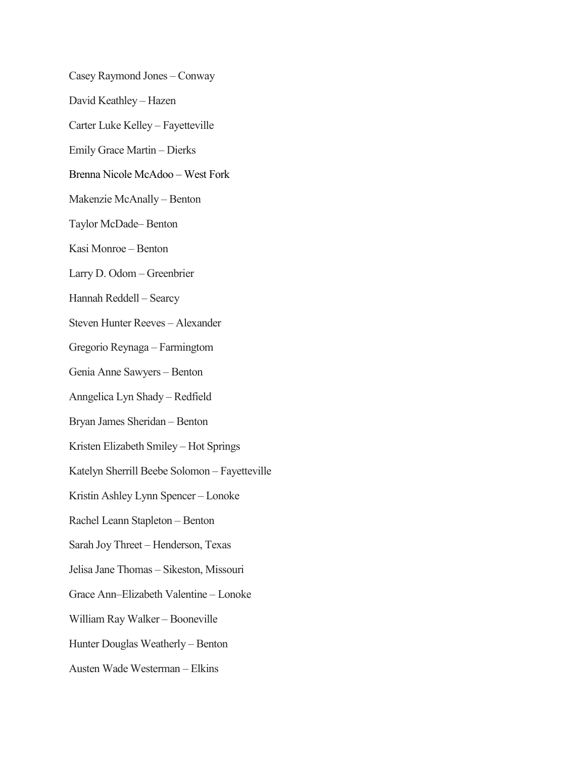Casey Raymond Jones – Conway David Keathley – Hazen Carter Luke Kelley – Fayetteville Emily Grace Martin – Dierks Brenna Nicole McAdoo – West Fork Makenzie McAnally – Benton Taylor McDade– Benton Kasi Monroe – Benton Larry D. Odom – Greenbrier Hannah Reddell – Searcy Steven Hunter Reeves – Alexander Gregorio Reynaga – Farmingtom Genia Anne Sawyers – Benton Anngelica Lyn Shady – Redfield Bryan James Sheridan – Benton Kristen Elizabeth Smiley – Hot Springs Katelyn Sherrill Beebe Solomon – Fayetteville Kristin Ashley Lynn Spencer – Lonoke Rachel Leann Stapleton – Benton Sarah Joy Threet – Henderson, Texas Jelisa Jane Thomas – Sikeston, Missouri Grace Ann–Elizabeth Valentine – Lonoke William Ray Walker – Booneville Hunter Douglas Weatherly – Benton Austen Wade Westerman – Elkins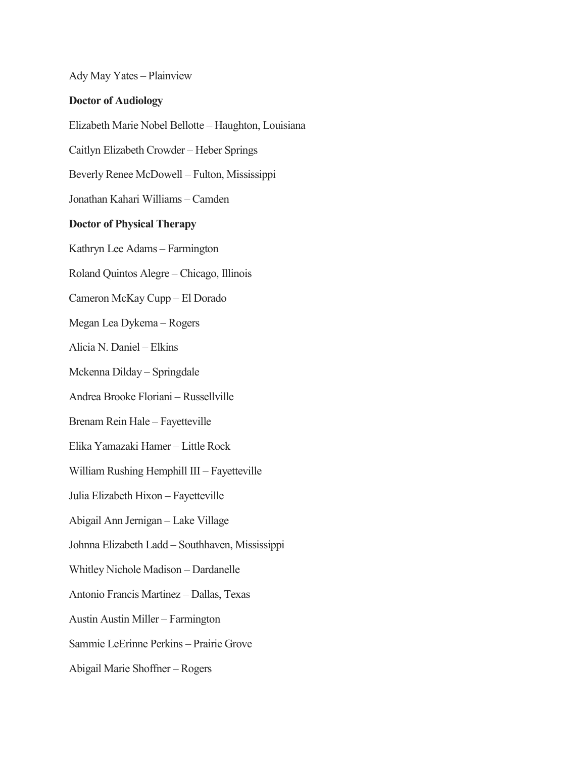Ady May Yates – Plainview

#### **Doctor of Audiology**

Elizabeth Marie Nobel Bellotte – Haughton, Louisiana

Caitlyn Elizabeth Crowder – Heber Springs

Beverly Renee McDowell – Fulton, Mississippi

Jonathan Kahari Williams – Camden

#### **Doctor of Physical Therapy**

Kathryn Lee Adams – Farmington

Roland Quintos Alegre – Chicago, Illinois

Cameron McKay Cupp – El Dorado

Megan Lea Dykema – Rogers

Alicia N. Daniel – Elkins

Mckenna Dilday – Springdale

Andrea Brooke Floriani – Russellville

Brenam Rein Hale – Fayetteville

Elika Yamazaki Hamer – Little Rock

William Rushing Hemphill III – Fayetteville

Julia Elizabeth Hixon – Fayetteville

Abigail Ann Jernigan – Lake Village

Johnna Elizabeth Ladd – Southhaven, Mississippi

Whitley Nichole Madison – Dardanelle

Antonio Francis Martinez – Dallas, Texas

Austin Austin Miller – Farmington

Sammie LeErinne Perkins – Prairie Grove

Abigail Marie Shoffner – Rogers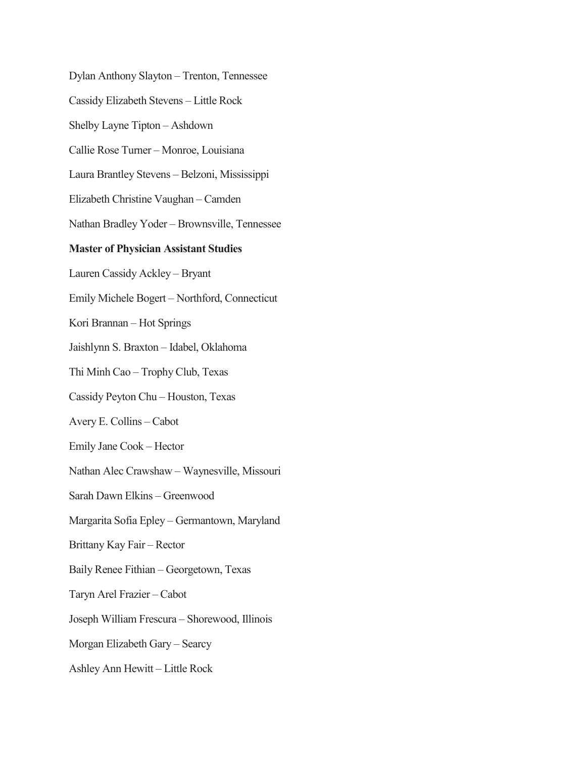Dylan Anthony Slayton – Trenton, Tennessee Cassidy Elizabeth Stevens – Little Rock Shelby Layne Tipton – Ashdown Callie Rose Turner – Monroe, Louisiana Laura Brantley Stevens – Belzoni, Mississippi Elizabeth Christine Vaughan – Camden Nathan Bradley Yoder – Brownsville, Tennessee **Master of Physician Assistant Studies** Lauren Cassidy Ackley – Bryant Emily Michele Bogert – Northford, Connecticut Kori Brannan – Hot Springs Jaishlynn S. Braxton – Idabel, Oklahoma Thi Minh Cao – Trophy Club, Texas Cassidy Peyton Chu – Houston, Texas Avery E. Collins – Cabot Emily Jane Cook – Hector Nathan Alec Crawshaw – Waynesville, Missouri Sarah Dawn Elkins – Greenwood Margarita Sofia Epley – Germantown, Maryland Brittany Kay Fair – Rector Baily Renee Fithian – Georgetown, Texas Taryn Arel Frazier – Cabot Joseph William Frescura – Shorewood, Illinois Morgan Elizabeth Gary – Searcy Ashley Ann Hewitt – Little Rock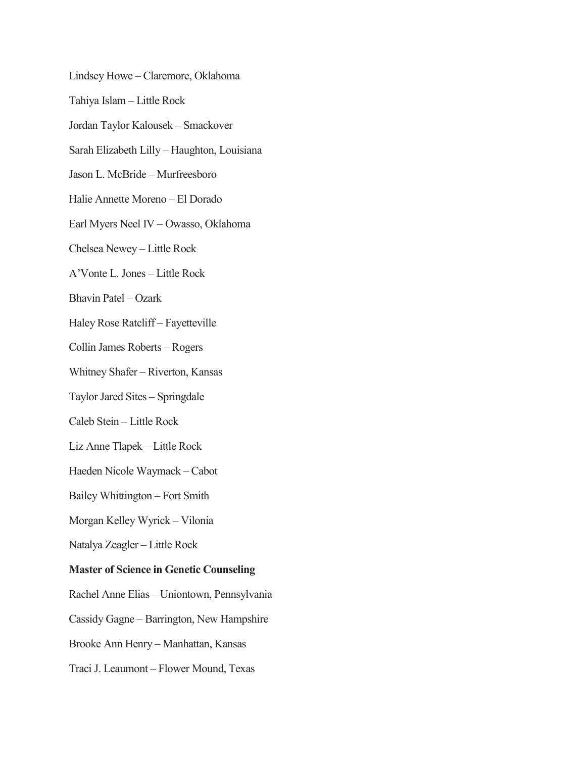Lindsey Howe – Claremore, Oklahoma Tahiya Islam – Little Rock Jordan Taylor Kalousek – Smackover Sarah Elizabeth Lilly – Haughton, Louisiana Jason L. McBride – Murfreesboro Halie Annette Moreno – El Dorado Earl Myers Neel IV – Owasso, Oklahoma Chelsea Newey – Little Rock A'Vonte L. Jones – Little Rock Bhavin Patel – Ozark Haley Rose Ratcliff – Fayetteville Collin James Roberts – Rogers Whitney Shafer – Riverton, Kansas Taylor Jared Sites – Springdale Caleb Stein – Little Rock Liz Anne Tlapek – Little Rock Haeden Nicole Waymack – Cabot Bailey Whittington – Fort Smith Morgan Kelley Wyrick – Vilonia Natalya Zeagler – Little Rock **Master of Science in Genetic Counseling** Rachel Anne Elias – Uniontown, Pennsylvania Cassidy Gagne – Barrington, New Hampshire Brooke Ann Henry – Manhattan, Kansas Traci J. Leaumont – Flower Mound, Texas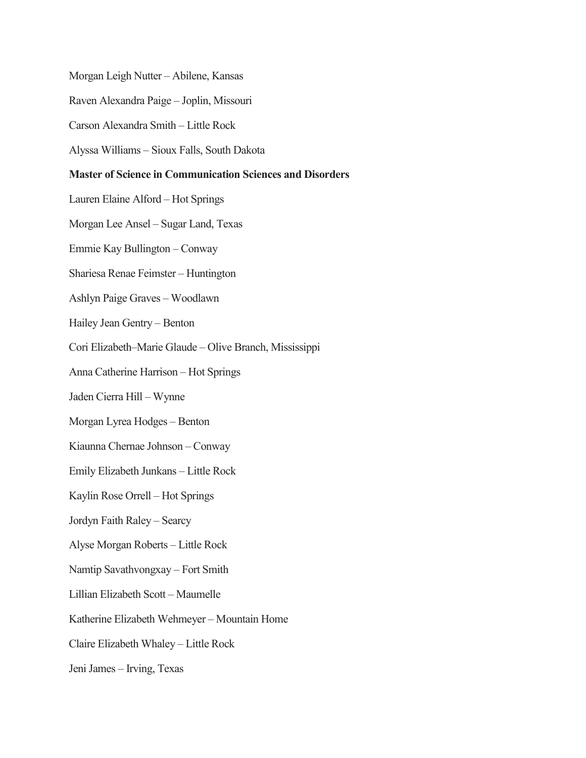Morgan Leigh Nutter – Abilene, Kansas

Raven Alexandra Paige – Joplin, Missouri

Carson Alexandra Smith – Little Rock

Alyssa Williams – Sioux Falls, South Dakota

#### **Master of Science in Communication Sciences and Disorders**

Lauren Elaine Alford – Hot Springs

Morgan Lee Ansel – Sugar Land, Texas

Emmie Kay Bullington – Conway

Shariesa Renae Feimster – Huntington

Ashlyn Paige Graves – Woodlawn

Hailey Jean Gentry – Benton

Cori Elizabeth–Marie Glaude – Olive Branch, Mississippi

Anna Catherine Harrison – Hot Springs

Jaden Cierra Hill – Wynne

Morgan Lyrea Hodges – Benton

Kiaunna Chernae Johnson – Conway

Emily Elizabeth Junkans – Little Rock

Kaylin Rose Orrell – Hot Springs

Jordyn Faith Raley – Searcy

Alyse Morgan Roberts – Little Rock

Namtip Savathvongxay – Fort Smith

Lillian Elizabeth Scott – Maumelle

Katherine Elizabeth Wehmeyer – Mountain Home

Claire Elizabeth Whaley – Little Rock

Jeni James – Irving, Texas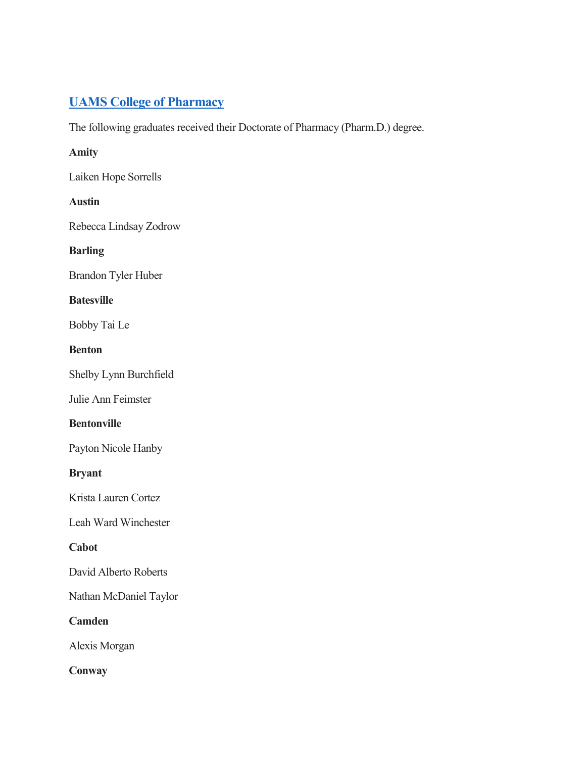# **[UAMS College of Pharmacy](https://pharmcollege.uams.edu/)**

The following graduates received their Doctorate of Pharmacy (Pharm.D.) degree.

### **Amity**

Laiken Hope Sorrells

### **Austin**

Rebecca Lindsay Zodrow

# **Barling**

Brandon Tyler Huber

### **Batesville**

Bobby Tai Le

# **Benton**

Shelby Lynn Burchfield

Julie Ann Feimster

# **Bentonville**

Payton Nicole Hanby

# **Bryant**

Krista Lauren Cortez

Leah Ward Winchester

# **Cabot**

David Alberto Roberts

Nathan McDaniel Taylor

**Camden**

Alexis Morgan

# **Conway**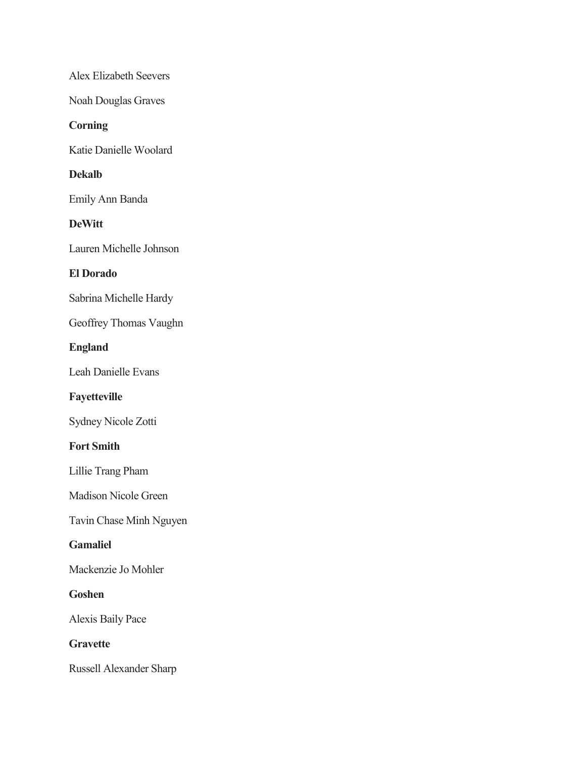Alex Elizabeth Seevers

Noah Douglas Graves

### **Corning**

Katie Danielle Woolard

# **Dekalb**

Emily Ann Banda

### **DeWitt**

Lauren Michelle Johnson

### **El Dorado**

Sabrina Michelle Hardy

Geoffrey Thomas Vaughn

### **England**

Leah Danielle Evans

# **Fayetteville**

Sydney Nicole Zotti

# **Fort Smith**

Lillie Trang Pham

Madison Nicole Green

Tavin Chase Minh Nguyen

### **Gamaliel**

Mackenzie Jo Mohler

# **Goshen**

Alexis Baily Pace

# **Gravette**

Russell Alexander Sharp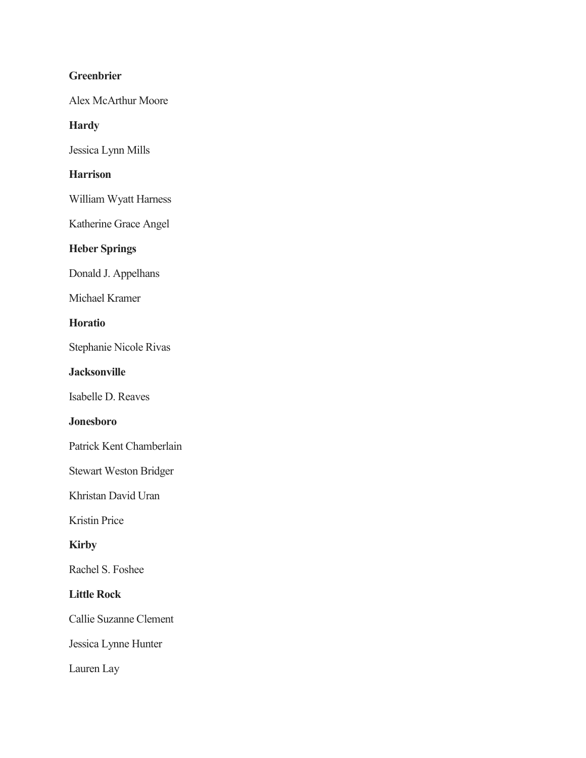# **Greenbrier**

Alex McArthur Moore

### **Hardy**

Jessica Lynn Mills

# **Harrison**

William Wyatt Harness

Katherine Grace Angel

# **Heber Springs**

Donald J. Appelhans

Michael Kramer

# **Horatio**

Stephanie Nicole Rivas

### **Jacksonville**

Isabelle D. Reaves

# **Jonesboro**

Patrick Kent Chamberlain

Stewart Weston Bridger

Khristan David Uran

Kristin Price

# **Kirby**

Rachel S. Foshee

### **Little Rock**

Callie Suzanne Clement

Jessica Lynne Hunter

Lauren Lay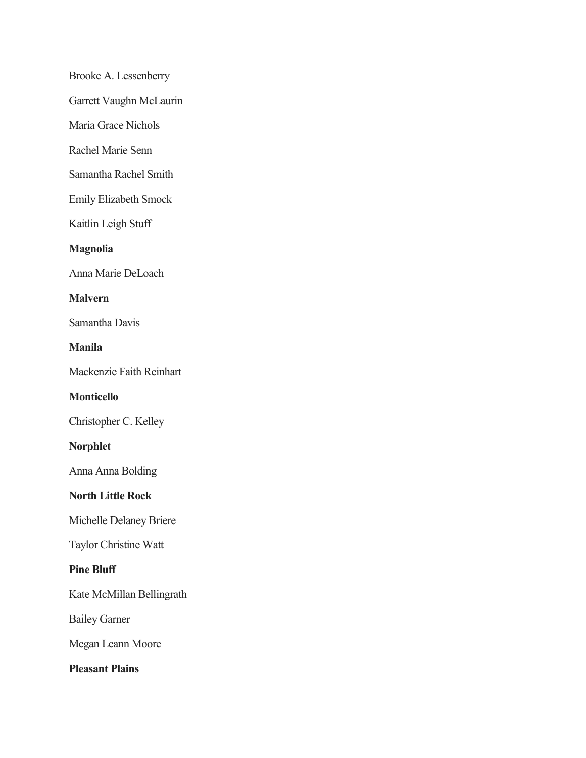Brooke A. Lessenberry

Garrett Vaughn McLaurin

Maria Grace Nichols

Rachel Marie Senn

Samantha Rachel Smith

Emily Elizabeth Smock

Kaitlin Leigh Stuff

### **Magnolia**

Anna Marie DeLoach

### **Malvern**

Samantha Davis

**Manila**

Mackenzie Faith Reinhart

### **Monticello**

Christopher C. Kelley

### **Norphlet**

Anna Anna Bolding

### **North Little Rock**

Michelle Delaney Briere

Taylor Christine Watt

### **Pine Bluff**

Kate McMillan Bellingrath

Bailey Garner

Megan Leann Moore

**Pleasant Plains**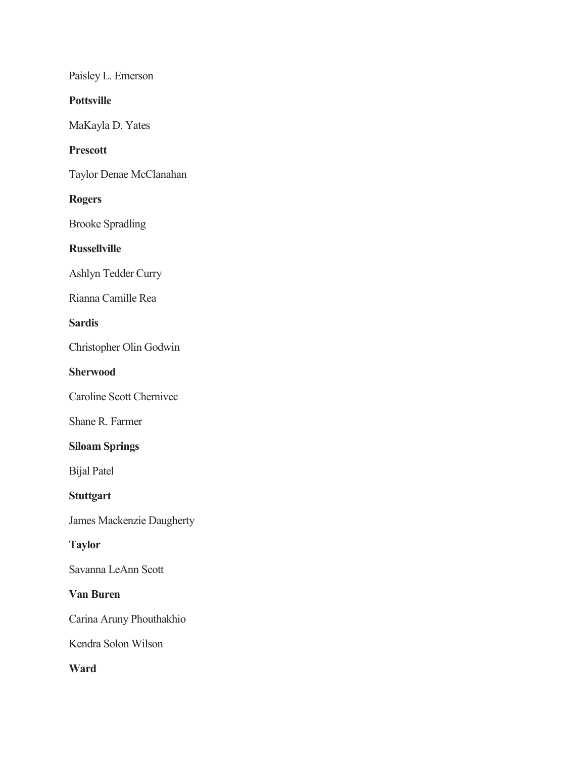Paisley L. Emerson

**Pottsville**

MaKayla D. Yates

### **Prescott**

Taylor Denae McClanahan

### **Rogers**

Brooke Spradling

### **Russellville**

Ashlyn Tedder Curry

Rianna Camille Rea

# **Sardis**

Christopher Olin Godwin

#### **Sherwood**

Caroline Scott Chernivec

Shane R. Farmer

# **Siloam Springs**

Bijal Patel

# **Stuttgart**

James Mackenzie Daugherty

# **Taylor**

Savanna LeAnn Scott

#### **Van Buren**

Carina Aruny Phouthakhio

Kendra Solon Wilson

**Ward**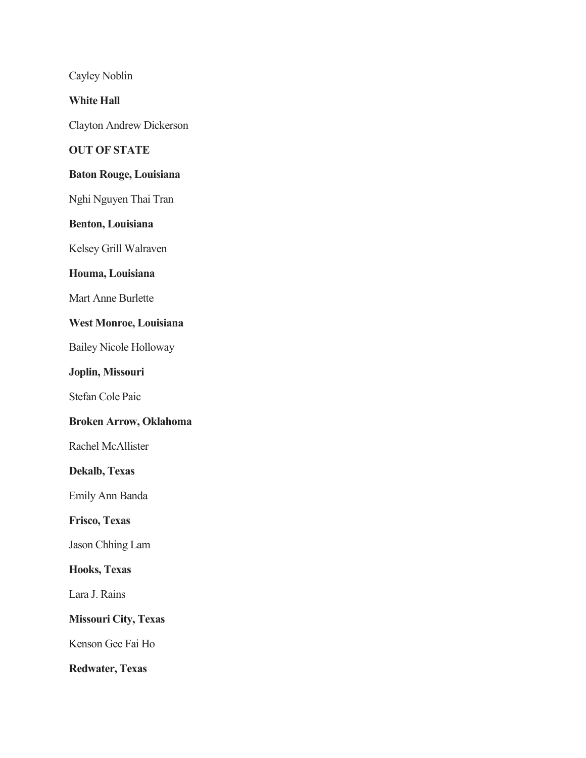Cayley Noblin

**White Hall**

Clayton Andrew Dickerson

### **OUT OF STATE**

# **Baton Rouge, Louisiana**

Nghi Nguyen Thai Tran

### **Benton, Louisiana**

Kelsey Grill Walraven

#### **Houma, Louisiana**

Mart Anne Burlette

#### **West Monroe, Louisiana**

Bailey Nicole Holloway

### **Joplin, Missouri**

Stefan Cole Paic

# **Broken Arrow, Oklahoma**

Rachel McAllister

#### **Dekalb, Texas**

Emily Ann Banda

# **Frisco, Texas**

Jason Chhing Lam

#### **Hooks, Texas**

Lara J. Rains

## **Missouri City, Texas**

Kenson Gee Fai Ho

**Redwater, Texas**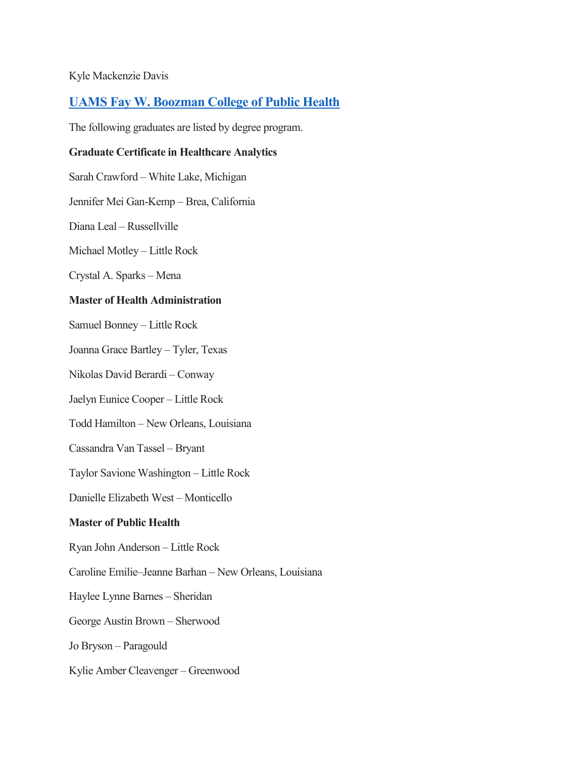#### Kyle Mackenzie Davis

# **[UAMS Fay W. Boozman College of Public Health](https://publichealth.uams.edu/)**

The following graduates are listed by degree program.

#### **Graduate Certificate in Healthcare Analytics**

Sarah Crawford – White Lake, Michigan

Jennifer Mei Gan-Kemp – Brea, California

Diana Leal – Russellville

Michael Motley – Little Rock

Crystal A. Sparks – Mena

#### **Master of Health Administration**

Samuel Bonney – Little Rock

Joanna Grace Bartley – Tyler, Texas

Nikolas David Berardi – Conway

Jaelyn Eunice Cooper – Little Rock

Todd Hamilton – New Orleans, Louisiana

Cassandra Van Tassel – Bryant

Taylor Savione Washington – Little Rock

Danielle Elizabeth West – Monticello

### **Master of Public Health**

Ryan John Anderson – Little Rock

Caroline Emilie–Jeanne Barhan – New Orleans, Louisiana

Haylee Lynne Barnes – Sheridan

George Austin Brown – Sherwood

Jo Bryson – Paragould

Kylie Amber Cleavenger – Greenwood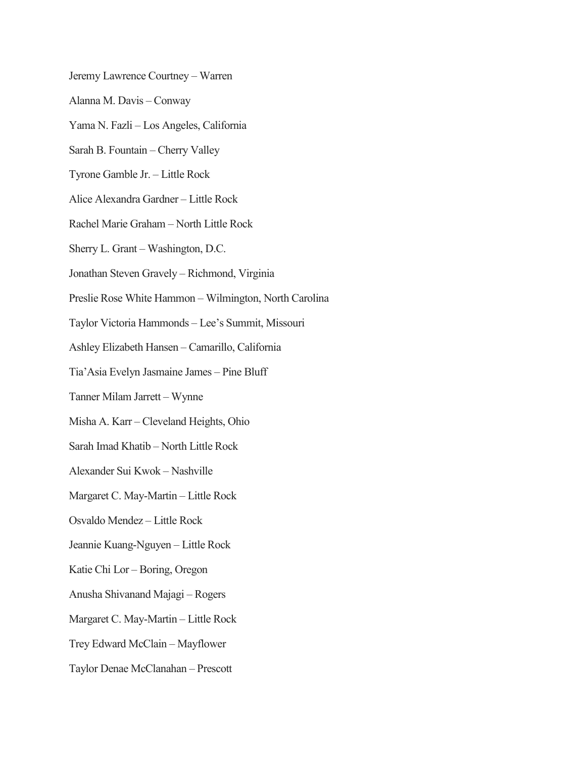Jeremy Lawrence Courtney – Warren Alanna M. Davis – Conway Yama N. Fazli – Los Angeles, California Sarah B. Fountain – Cherry Valley Tyrone Gamble Jr. – Little Rock Alice Alexandra Gardner – Little Rock Rachel Marie Graham – North Little Rock Sherry L. Grant – Washington, D.C. Jonathan Steven Gravely – Richmond, Virginia Preslie Rose White Hammon – Wilmington, North Carolina Taylor Victoria Hammonds – Lee's Summit, Missouri Ashley Elizabeth Hansen – Camarillo, California Tia'Asia Evelyn Jasmaine James – Pine Bluff Tanner Milam Jarrett – Wynne Misha A. Karr – Cleveland Heights, Ohio Sarah Imad Khatib – North Little Rock Alexander Sui Kwok – Nashville Margaret C. May-Martin – Little Rock Osvaldo Mendez – Little Rock Jeannie Kuang-Nguyen – Little Rock Katie Chi Lor – Boring, Oregon Anusha Shivanand Majagi – Rogers Margaret C. May-Martin – Little Rock Trey Edward McClain – Mayflower

Taylor Denae McClanahan – Prescott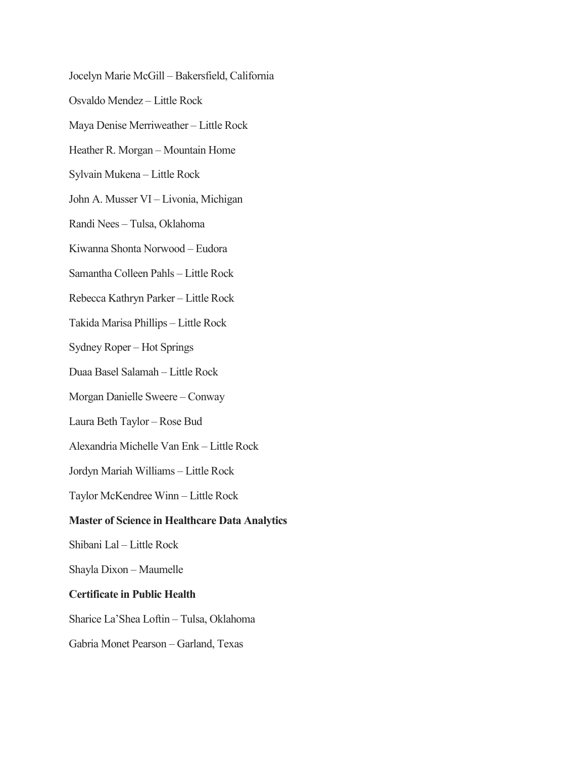Jocelyn Marie McGill – Bakersfield, California Osvaldo Mendez – Little Rock Maya Denise Merriweather – Little Rock Heather R. Morgan – Mountain Home Sylvain Mukena – Little Rock John A. Musser VI – Livonia, Michigan Randi Nees – Tulsa, Oklahoma Kiwanna Shonta Norwood – Eudora Samantha Colleen Pahls – Little Rock Rebecca Kathryn Parker – Little Rock Takida Marisa Phillips – Little Rock Sydney Roper – Hot Springs Duaa Basel Salamah – Little Rock Morgan Danielle Sweere – Conway Laura Beth Taylor – Rose Bud Alexandria Michelle Van Enk – Little Rock Jordyn Mariah Williams – Little Rock Taylor McKendree Winn – Little Rock **Master of Science in Healthcare Data Analytics** Shibani Lal – Little Rock Shayla Dixon – Maumelle **Certificate in Public Health** Sharice La'Shea Loftin – Tulsa, Oklahoma Gabria Monet Pearson – Garland, Texas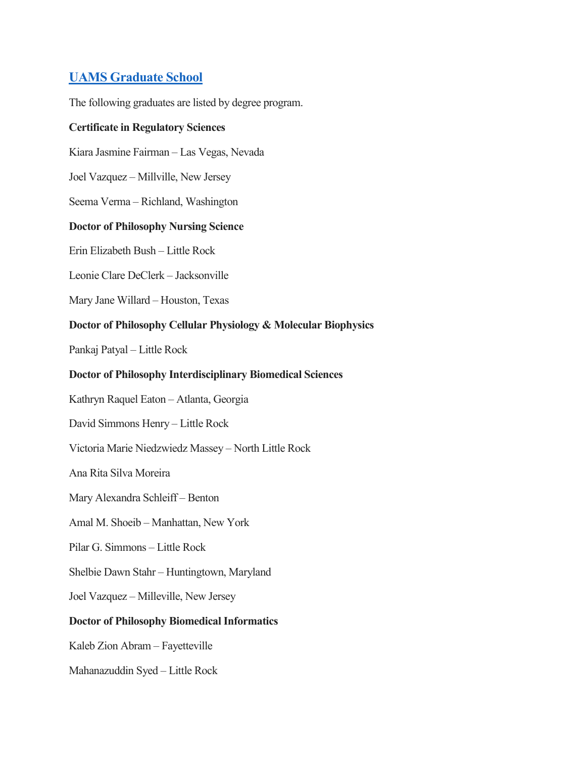# **[UAMS Graduate School](http://gradschool.uams.edu/)**

The following graduates are listed by degree program.

#### **Certificate in Regulatory Sciences**

Kiara Jasmine Fairman – Las Vegas, Nevada

Joel Vazquez – Millville, New Jersey

Seema Verma – Richland, Washington

#### **Doctor of Philosophy Nursing Science**

Erin Elizabeth Bush – Little Rock

Leonie Clare DeClerk – Jacksonville

Mary Jane Willard – Houston, Texas

### **Doctor of Philosophy Cellular Physiology & Molecular Biophysics**

Pankaj Patyal – Little Rock

#### **Doctor of Philosophy Interdisciplinary Biomedical Sciences**

Kathryn Raquel Eaton – Atlanta, Georgia

David Simmons Henry – Little Rock

Victoria Marie Niedzwiedz Massey – North Little Rock

Ana Rita Silva Moreira

Mary Alexandra Schleiff – Benton

Amal M. Shoeib – Manhattan, New York

Pilar G. Simmons – Little Rock

Shelbie Dawn Stahr – Huntingtown, Maryland

Joel Vazquez – Milleville, New Jersey

### **Doctor of Philosophy Biomedical Informatics**

Kaleb Zion Abram – Fayetteville

Mahanazuddin Syed – Little Rock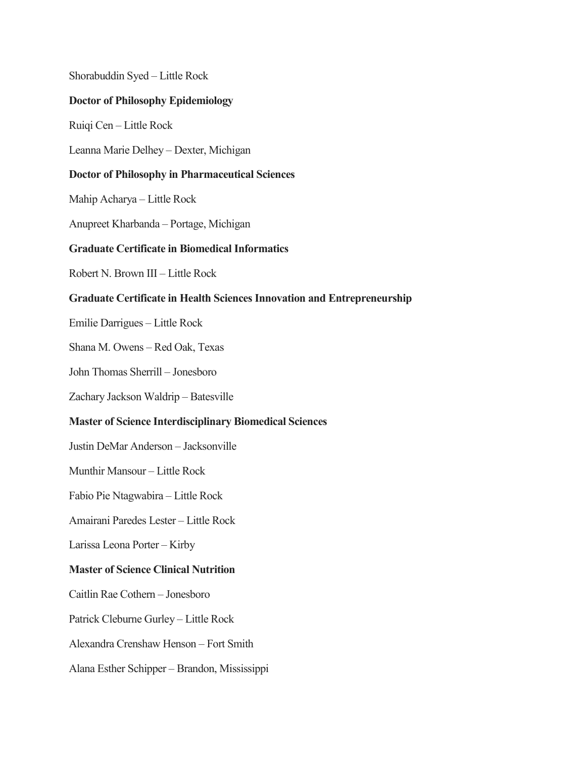Shorabuddin Syed – Little Rock **Doctor of Philosophy Epidemiology** Ruiqi Cen – Little Rock Leanna Marie Delhey – Dexter, Michigan **Doctor of Philosophy in Pharmaceutical Sciences** Mahip Acharya – Little Rock Anupreet Kharbanda – Portage, Michigan **Graduate Certificate in Biomedical Informatics** Robert N. Brown III – Little Rock **Graduate Certificate in Health Sciences Innovation and Entrepreneurship** Emilie Darrigues – Little Rock Shana M. Owens – Red Oak, Texas John Thomas Sherrill – Jonesboro Zachary Jackson Waldrip – Batesville **Master of Science Interdisciplinary Biomedical Sciences** Justin DeMar Anderson – Jacksonville Munthir Mansour – Little Rock Fabio Pie Ntagwabira – Little Rock Amairani Paredes Lester – Little Rock Larissa Leona Porter – Kirby **Master of Science Clinical Nutrition** Caitlin Rae Cothern – Jonesboro Patrick Cleburne Gurley – Little Rock Alexandra Crenshaw Henson – Fort Smith Alana Esther Schipper – Brandon, Mississippi